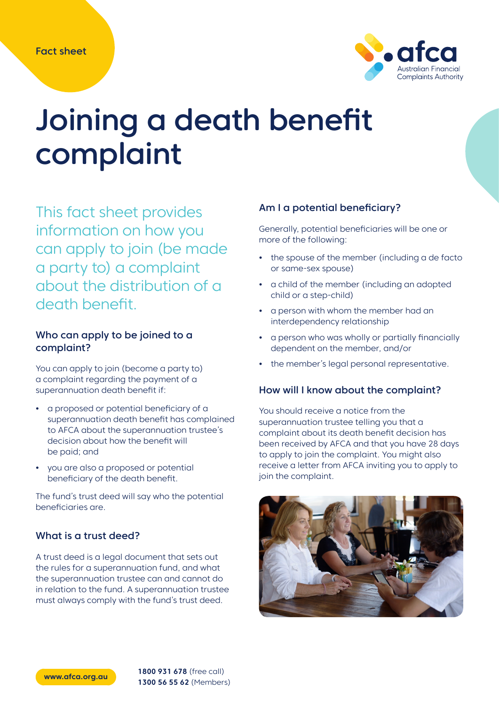

# Joining a death benefit complaint

This fact sheet provides information on how you can apply to join (be made a party to) a complaint about the distribution of a death benefit.

## Who can apply to be joined to a complaint?

You can apply to join (become a party to) a complaint regarding the payment of a superannuation death benefit if:

- **•** a proposed or potential beneficiary of a superannuation death benefit has complained to AFCA about the superannuation trustee's decision about how the benefit will be paid; and
- **•** you are also a proposed or potential beneficiary of the death benefit.

The fund's trust deed will say who the potential beneficiaries are.

## What is a trust deed?

A trust deed is a legal document that sets out the rules for a superannuation fund, and what the superannuation trustee can and cannot do in relation to the fund. A superannuation trustee must always comply with the fund's trust deed.

## Am I a potential beneficiary?

Generally, potential beneficiaries will be one or more of the following:

- **•** the spouse of the member (including a de facto or same-sex spouse)
- **•** a child of the member (including an adopted child or a step-child)
- **•** a person with whom the member had an interdependency relationship
- **•** a person who was wholly or partially financially dependent on the member, and/or
- **•** the member's legal personal representative.

#### How will I know about the complaint?

You should receive a notice from the superannuation trustee telling you that a complaint about its death benefit decision has been received by AFCA and that you have 28 days to apply to join the complaint. You might also receive a letter from AFCA inviting you to apply to join the complaint.



**www.afca.org.au 1800 931 678** (free call) **1300 56 55 62** (Members)